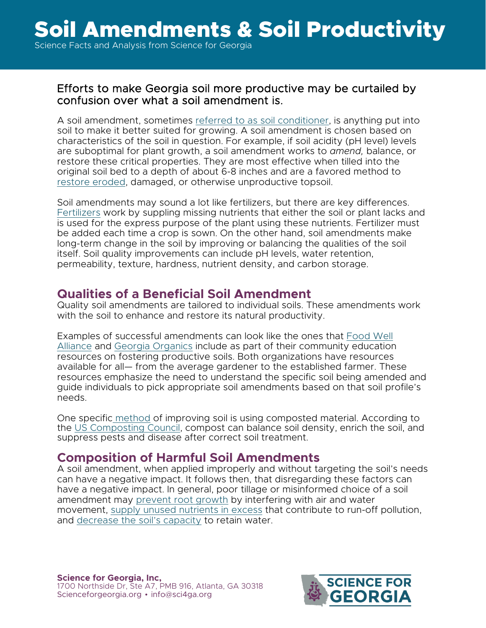#### Efforts to make Georgia soil more productive may be curtailed by confusion over what a soil amendment is.

A soil amendment, sometimes referred to as soil conditioner, is anything put into soil to make it better suited for growing. A soil amendment is chosen based on characteristics of the soil in question. For example, if soil acidity (pH level) levels are suboptimal for plant growth, a soil amendment works to *amend,* balance, or restore these critical properties. They are most effective when tilled into the original soil bed to a depth of about 6-8 inches and are a favored method to restore eroded, damaged, or otherwise unproductive topsoil.

Soil amendments may sound a lot like fertilizers, but there are key differences. Fertilizers work by suppling missing nutrients that either the soil or plant lacks and is used for the express purpose of the plant using these nutrients. Fertilizer must be added each time a crop is sown. On the other hand, soil amendments make long-term change in the soil by improving or balancing the qualities of the soil itself. Soil quality improvements can include pH levels, water retention, permeability, texture, hardness, nutrient density, and carbon storage.

#### **Qualities of a Beneficial Soil Amendment**

Quality soil amendments are tailored to individual soils. These amendments work with the soil to enhance and restore its natural productivity.

Examples of successful amendments can look like the ones that Food Well Alliance and Georgia Organics include as part of their community education resources on fostering productive soils. Both organizations have resources available for all— from the average gardener to the established farmer. These resources emphasize the need to understand the specific soil being amended and guide individuals to pick appropriate soil amendments based on that soil profile's needs.

One specific method of improving soil is using composted material. According to the US Composting Council, compost can balance soil density, enrich the soil, and suppress pests and disease after correct soil treatment.

### **Composition of Harmful Soil Amendments**

A soil amendment, when applied improperly and without targeting the soil's needs can have a negative impact. It follows then, that disregarding these factors can have a negative impact. In general, poor tillage or misinformed choice of a soil amendment may prevent root growth by interfering with air and water movement, supply unused nutrients in excess that contribute to run-off pollution, and decrease the soil's capacity to retain water.

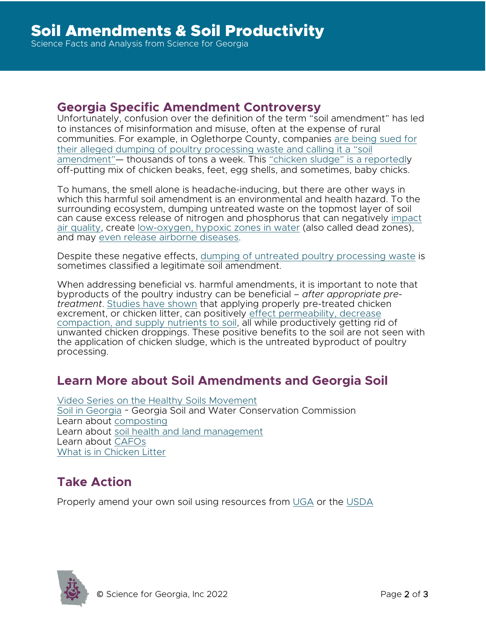#### **Georgia Specific Amendment Controversy**

Unfortunately, confusion over the definition of the term "soil amendment" has led to instances of misinformation and misuse, often at the expense of rural communities. For example, in Oglethorpe County, companies [are being sued for](https://www.gpb.org/news/2021/05/26/stench-in-farm-country-how-poultry-waste-has-led-uproar)  [their alleged dumping of poultry processing waste](https://www.gpb.org/news/2021/05/26/stench-in-farm-country-how-poultry-waste-has-led-uproar) and calling it a "soil amendment"— thousands of tons a week. This ["chicken sludge" is a reportedly](https://www.gpb.org/news/2021/05/26/stench-in-farm-country-how-poultry-waste-has-led-uproar) off-putting mix of chicken beaks, feet, egg shells, and sometimes, baby chicks.

To humans, the smell alone is headache-inducing, but there are other ways in which this harmful soil amendment is an environmental and health hazard. To the surrounding ecosystem, dumping untreated waste on the topmost layer of soil can cause excess release of nitrogen and phosphorus that can negatively [impact](https://www.epa.gov/nutrientpollution/sources-and-solutions-agriculture)  [air quality,](https://www.epa.gov/nutrientpollution/sources-and-solutions-agriculture) create [low-oxygen, hypoxic zones in water](https://cen.acs.org/articles/94/i16/stuff-chicken-manure.html) (also called dead zones), and may [even release airborne diseases.](https://emory-my.sharepoint.com/personal/neencar_emory_edu/Documents/Survival%20of%20Escherichia%20coli%20in%20Airborne%20and%20Settled%20Poultry%20...https:/www.mdpi.com%20%E2%80%BA%20pdf)

Despite these negative effects, [dumping of untreated poultry processing waste](https://foodprint.org/issues/what-happens-to-animal-waste/#easy-footnote-bottom-2-1324) is sometimes classified a legitimate soil amendment.

When addressing beneficial vs. harmful amendments, it is important to note that byproducts of the poultry industry can be beneficial – *after appropriate pretreatment*. [Studies have shown](https://www.sciencedirect.com/science/article/pii/S004896972033360X) that applying properly pre-treated chicken excrement, or chicken litter, can positively [effect permeability, decrease](https://ntrs.nasa.gov/citations/20000032348)  [compaction, and supply nutrients to soil,](https://ntrs.nasa.gov/citations/20000032348) all while productively getting rid of unwanted chicken droppings. These positive benefits to the soil are not seen with the application of chicken sludge, which is the untreated byproduct of poultry processing.

# **Learn More about Soil Amendments and Georgia Soil**

[Video Series on the Healthy Soils Movement](https://www.nrcs.usda.gov/wps/portal/nrcs/detail/national/soils/health/?cid=nrcseprd755006) [Soil in Georgia](https://gaswcc.georgia.gov/agricultural-conservation-programs/soil-health/soil-georgia) ~ Georgia Soil and Water Conservation Commission Learn about [composting](https://www.epa.gov/recycle/composting-home) Learn about soil health and land management Learn about [CAFOs](https://sciencelookup.org/knowledge-base1/concentrated-animal-feeding-operations-cafos-and-human-health/) [What is in Chicken Litter](https://extension.okstate.edu/fact-sheets/using-poultry-litter-as-fertilizer.html)

# **Take Action**

Properly amend your own soil using resources from [UGA](https://newswire.caes.uga.edu/story/7718/soil-mixes.html) or the [USDA](https://www.nal.usda.gov/legacy/afsic/soil-amendments-and-nutrient-management)